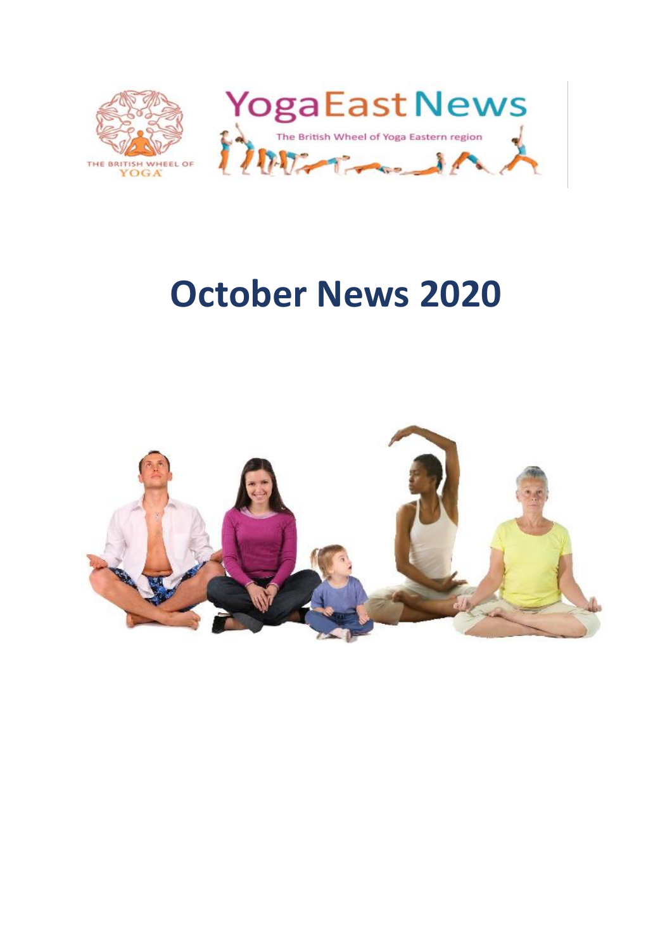

# **October News 2020**

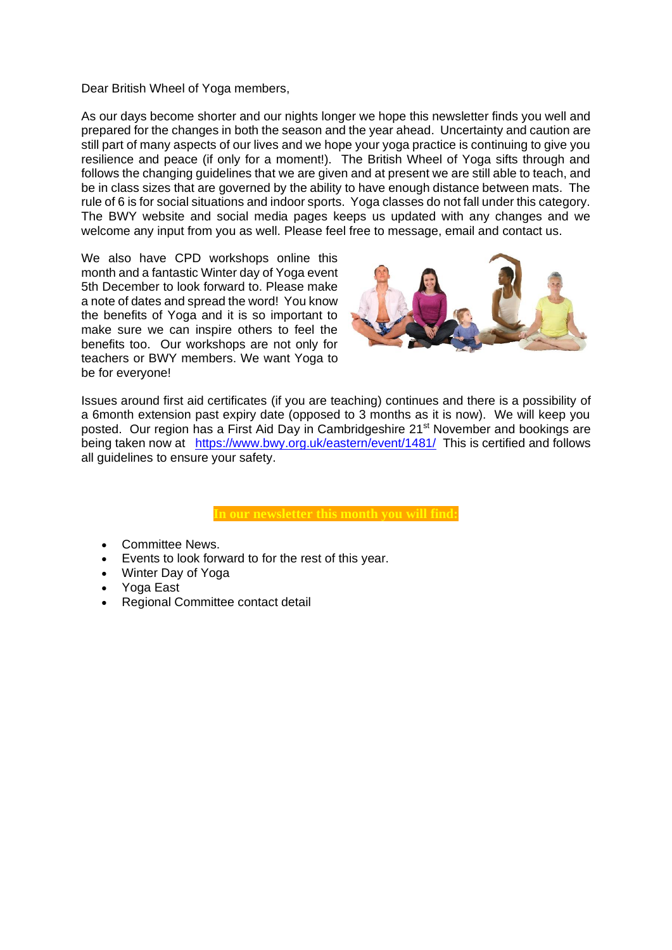Dear British Wheel of Yoga members,

As our days become shorter and our nights longer we hope this newsletter finds you well and prepared for the changes in both the season and the year ahead. Uncertainty and caution are still part of many aspects of our lives and we hope your yoga practice is continuing to give you resilience and peace (if only for a moment!). The British Wheel of Yoga sifts through and follows the changing guidelines that we are given and at present we are still able to teach, and be in class sizes that are governed by the ability to have enough distance between mats. The rule of 6 is for social situations and indoor sports. Yoga classes do not fall under this category. The BWY website and social media pages keeps us updated with any changes and we welcome any input from you as well. Please feel free to message, email and contact us.

We also have CPD workshops online this month and a fantastic Winter day of Yoga event 5th December to look forward to. Please make a note of dates and spread the word! You know the benefits of Yoga and it is so important to make sure we can inspire others to feel the benefits too. Our workshops are not only for teachers or BWY members. We want Yoga to be for everyone!



Issues around first aid certificates (if you are teaching) continues and there is a possibility of a 6month extension past expiry date (opposed to 3 months as it is now). We will keep you posted. Our region has a First Aid Day in Cambridgeshire 21<sup>st</sup> November and bookings are being taken now at <https://www.bwy.org.uk/eastern/event/1481/>This is certified and follows all guidelines to ensure your safety.

- Committee News.
- Events to look forward to for the rest of this year.
- Winter Day of Yoga
- Yoga East
- Regional Committee contact detail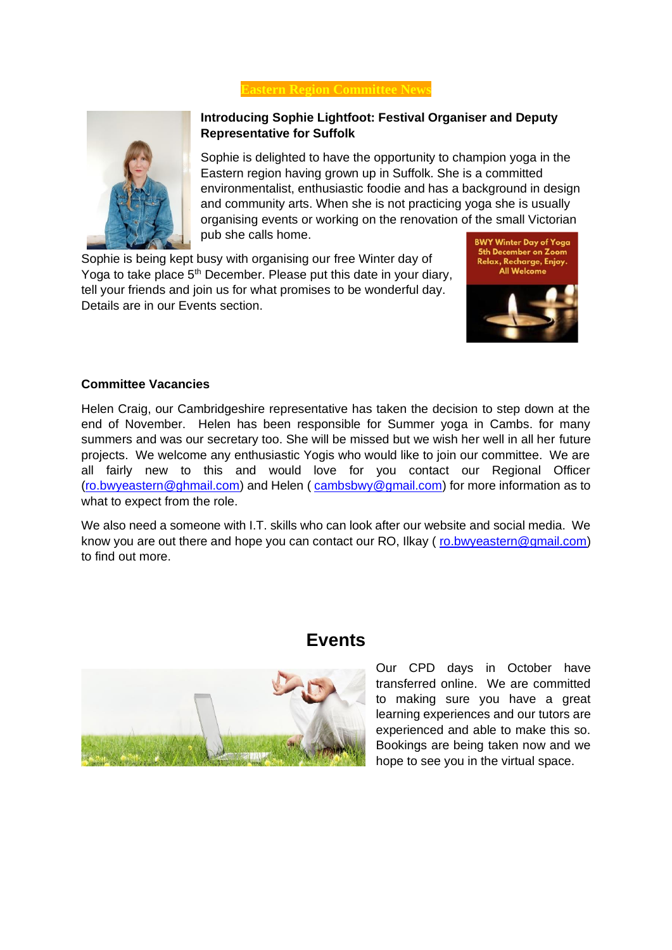#### **Eastern Region Committee New**



### **Introducing Sophie Lightfoot: Festival Organiser and Deputy Representative for Suffolk**

Sophie is delighted to have the opportunity to champion yoga in the Eastern region having grown up in Suffolk. She is a committed environmentalist, enthusiastic foodie and has a background in design and community arts. When she is not practicing yoga she is usually organising events or working on the renovation of the small Victorian pub she calls home.

Sophie is being kept busy with organising our free Winter day of Yoga to take place 5<sup>th</sup> December. Please put this date in your diary, tell your friends and join us for what promises to be wonderful day. Details are in our Events section.





#### **Committee Vacancies**

Helen Craig, our Cambridgeshire representative has taken the decision to step down at the end of November. Helen has been responsible for Summer yoga in Cambs. for many summers and was our secretary too. She will be missed but we wish her well in all her future projects. We welcome any enthusiastic Yogis who would like to join our committee. We are all fairly new to this and would love for you contact our Regional Officer [\(ro.bwyeastern@ghmail.com\)](mailto:ro.bwyeastern@ghmail.com) and Helen ( [cambsbwy@gmail.com\)](mailto:cambsbwy@gmail.com) for more information as to what to expect from the role.

We also need a someone with I.T. skills who can look after our website and social media. We know you are out there and hope you can contact our RO, Ilkay ( [ro.bwyeastern@gmail.com\)](mailto:ro.bwyeastern@gmail.com) to find out more.



## **Events**

Our CPD days in October have transferred online. We are committed to making sure you have a great learning experiences and our tutors are experienced and able to make this so. Bookings are being taken now and we hope to see you in the virtual space.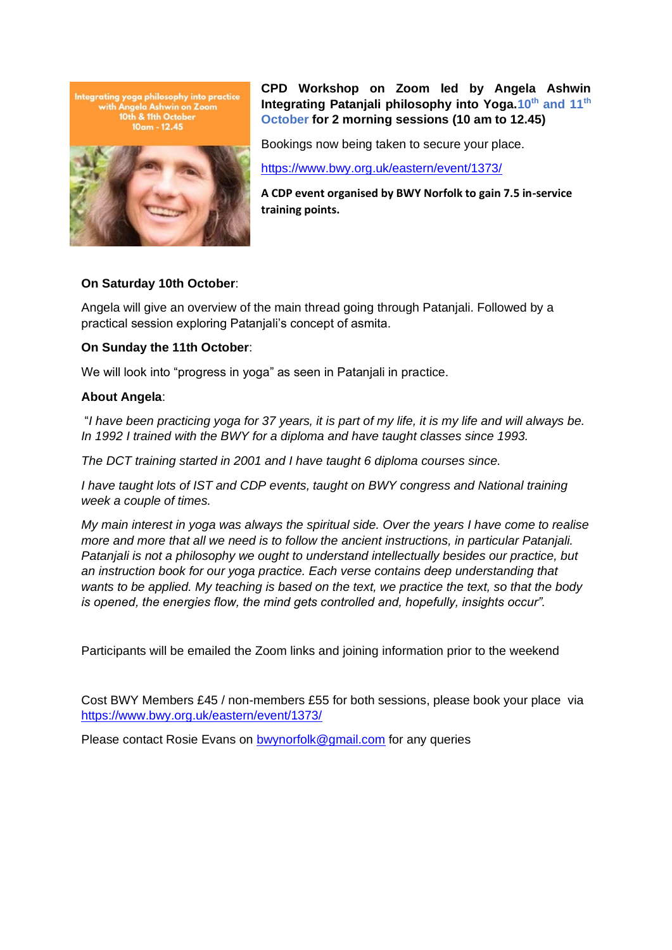



**CPD Workshop on Zoom led by Angela Ashwin Integrating Patanjali philosophy into Yoga.10th and 11th October for 2 morning sessions (10 am to 12.45)**

Bookings now being taken to secure your place.

<https://www.bwy.org.uk/eastern/event/1373/>

**A CDP event organised by BWY Norfolk to gain 7.5 in-service training points.** 

#### **On Saturday 10th October**:

Angela will give an overview of the main thread going through Patanjali. Followed by a practical session exploring Patanjali's concept of asmita.

#### **On Sunday the 11th October**:

We will look into "progress in yoga" as seen in Patanjali in practice.

#### **About Angela**:

"*I have been practicing yoga for 37 years, it is part of my life, it is my life and will always be.*  In 1992 I trained with the BWY for a diploma and have taught classes since 1993.

*The DCT training started in 2001 and I have taught 6 diploma courses since.*

*I have taught lots of IST and CDP events, taught on BWY congress and National training week a couple of times.*

*My main interest in yoga was always the spiritual side. Over the years I have come to realise more and more that all we need is to follow the ancient instructions, in particular Patanjali. Patanjali is not a philosophy we ought to understand intellectually besides our practice, but an instruction book for our yoga practice. Each verse contains deep understanding that wants to be applied. My teaching is based on the text, we practice the text, so that the body is opened, the energies flow, the mind gets controlled and, hopefully, insights occur".*

Participants will be emailed the Zoom links and joining information prior to the weekend

Cost BWY Members £45 / non-members £55 for both sessions, please book your place via <https://www.bwy.org.uk/eastern/event/1373/>

Please contact Rosie Evans on [bwynorfolk@gmail.com](mailto:bwynorfolk@gmail.com) for any queries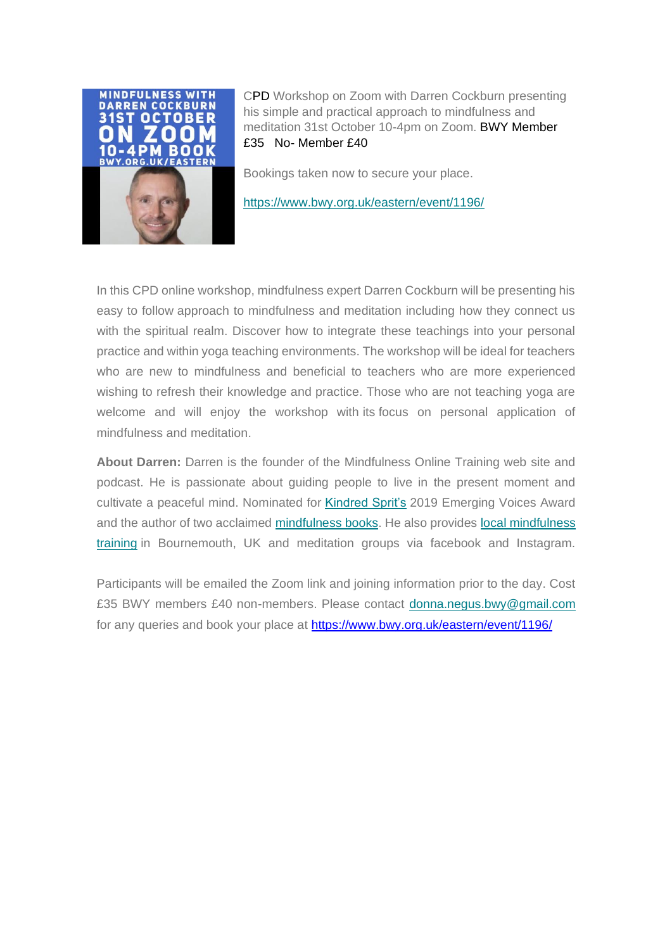

CPD Workshop on Zoom with Darren Cockburn presenting his simple and practical approach to mindfulness and meditation 31st October 10-4pm on Zoom. BWY Member £35 No- Member £40

Bookings taken now to secure your place.

[https://www.bwy.org.uk/eastern/event/1196/](https://donnanegusyoga.us19.list-manage.com/track/click?u=99ae304adbe965ab05d8c9a8f&id=2f7accd59c&e=b276201e0a)

In this CPD online workshop, mindfulness expert Darren Cockburn will be presenting his easy to follow approach to mindfulness and meditation including how they connect us with the spiritual realm. Discover how to integrate these teachings into your personal practice and within yoga teaching environments. The workshop will be ideal for teachers who are new to mindfulness and beneficial to teachers who are more experienced wishing to refresh their knowledge and practice. Those who are not teaching yoga are welcome and will enjoy the workshop with its focus on personal application of mindfulness and meditation.

**About Darren:** Darren is the founder of the Mindfulness Online Training web site and podcast. He is passionate about guiding people to live in the present moment and cultivate a peaceful mind. Nominated for [Kindred Sprit's](https://donnanegusyoga.us19.list-manage.com/track/click?u=99ae304adbe965ab05d8c9a8f&id=9599f01b96&e=b276201e0a) 2019 Emerging Voices Award and the author of two acclaimed [mindfulness books.](https://donnanegusyoga.us19.list-manage.com/track/click?u=99ae304adbe965ab05d8c9a8f&id=85c6d5fd39&e=b276201e0a) He also provides local mindfulness [training](https://donnanegusyoga.us19.list-manage.com/track/click?u=99ae304adbe965ab05d8c9a8f&id=21616d7f43&e=b276201e0a) in Bournemouth, UK and meditation groups via facebook and Instagram.

Participants will be emailed the Zoom link and joining information prior to the day. Cost £35 BWY members £40 non-members. Please contact [donna.negus.bwy@gmail.com](mailto:Donna.negus.bwy@gmail.com) for any queries and book your place at<https://www.bwy.org.uk/eastern/event/1196/>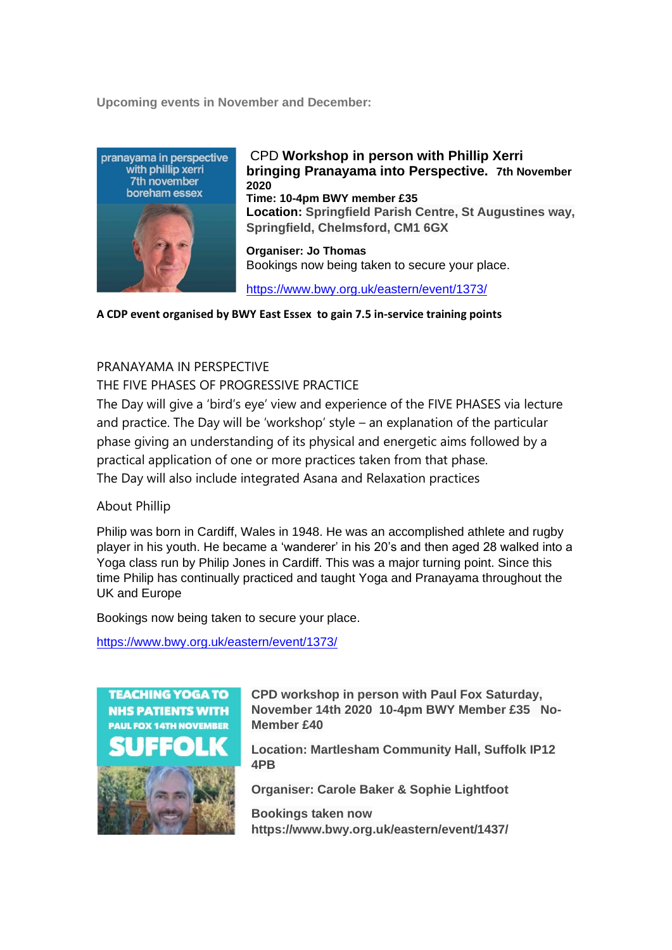**Upcoming events in November and December:** 



CPD **Workshop in person with Phillip Xerri bringing Pranayama into Perspective. 7th November 2020 Time: 10-4pm BWY member £35 Location: Springfield Parish Centre, St Augustines way, Springfield, Chelmsford, CM1 6GX Organiser: Jo Thomas**

Bookings now being taken to secure your place.

<https://www.bwy.org.uk/eastern/event/1373/>

**A CDP event organised by BWY East Essex to gain 7.5 in-service training points**

#### PRANAYAMA IN PERSPECTIVE

THE FIVE PHASES OF PROGRESSIVE PRACTICE

The Day will give a 'bird's eye' view and experience of the FIVE PHASES via lecture and practice. The Day will be 'workshop' style – an explanation of the particular phase giving an understanding of its physical and energetic aims followed by a practical application of one or more practices taken from that phase. The Day will also include integrated Asana and Relaxation practices

About Phillip

Philip was born in Cardiff, Wales in 1948. He was an accomplished athlete and rugby player in his youth. He became a 'wanderer' in his 20's and then aged 28 walked into a Yoga class run by Philip Jones in Cardiff. This was a major turning point. Since this time Philip has continually practiced and taught Yoga and Pranayama throughout the UK and Europe

Bookings now being taken to secure your place.

<https://www.bwy.org.uk/eastern/event/1373/>



**CPD workshop in person with Paul Fox Saturday, November 14th 2020 10-4pm BWY Member £35 No-Member £40**

**Location: Martlesham Community Hall, Suffolk IP12 4PB**

**Organiser: Carole Baker & Sophie Lightfoot**

**Bookings taken now https://www.bwy.org.uk/eastern/event/1437/**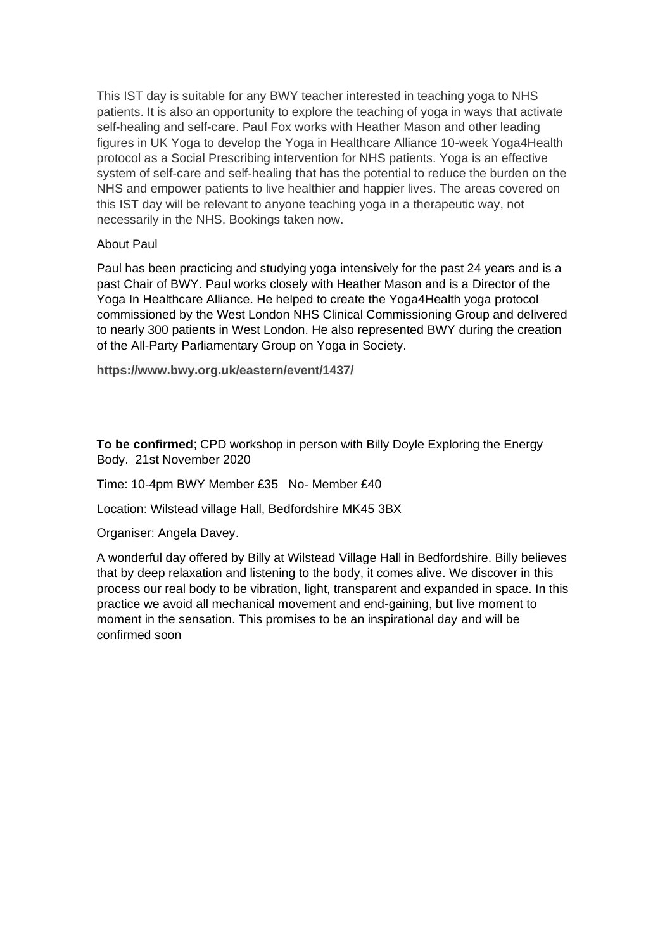This IST day is suitable for any BWY teacher interested in teaching yoga to NHS patients. It is also an opportunity to explore the teaching of yoga in ways that activate self-healing and self-care. Paul Fox works with Heather Mason and other leading figures in UK Yoga to develop the Yoga in Healthcare Alliance 10-week Yoga4Health protocol as a Social Prescribing intervention for NHS patients. Yoga is an effective system of self-care and self-healing that has the potential to reduce the burden on the NHS and empower patients to live healthier and happier lives. The areas covered on this IST day will be relevant to anyone teaching yoga in a therapeutic way, not necessarily in the NHS. Bookings taken now.

#### About Paul

Paul has been practicing and studying yoga intensively for the past 24 years and is a past Chair of BWY. Paul works closely with Heather Mason and is a Director of the Yoga In Healthcare Alliance. He helped to create the Yoga4Health yoga protocol commissioned by the West London NHS Clinical Commissioning Group and delivered to nearly 300 patients in West London. He also represented BWY during the creation of the All-Party Parliamentary Group on Yoga in Society.

**https://www.bwy.org.uk/eastern/event/1437/**

**To be confirmed**; CPD workshop in person with Billy Doyle Exploring the Energy Body. 21st November 2020

Time: 10-4pm BWY Member £35 No- Member £40

Location: Wilstead village Hall, Bedfordshire MK45 3BX

Organiser: Angela Davey.

A wonderful day offered by Billy at Wilstead Village Hall in Bedfordshire. Billy believes that by deep relaxation and listening to the body, it comes alive. We discover in this process our real body to be vibration, light, transparent and expanded in space. In this practice we avoid all mechanical movement and end-gaining, but live moment to moment in the sensation. This promises to be an inspirational day and will be confirmed soon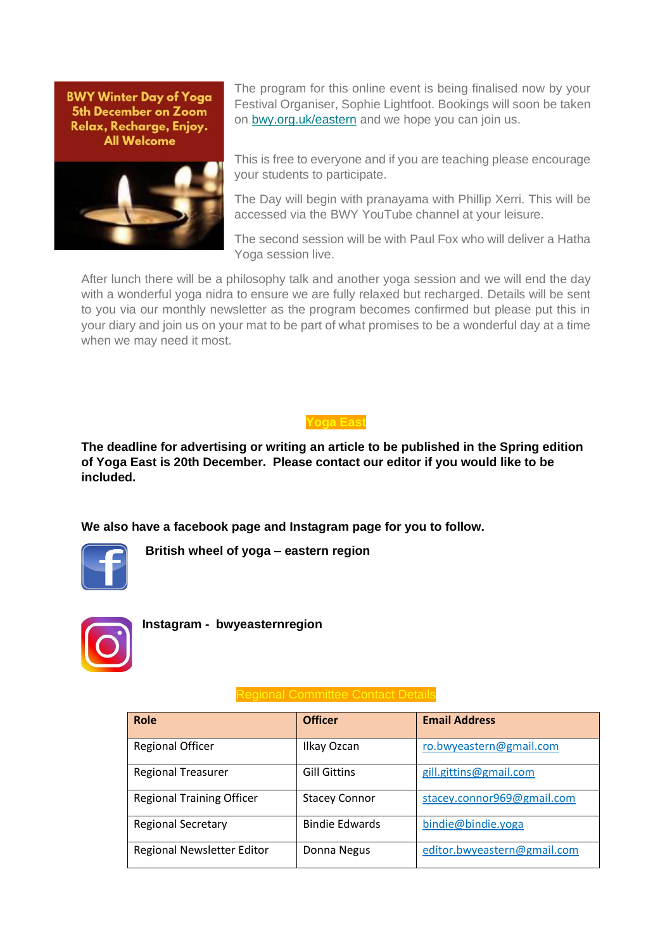**BWY Winter Day of Yoga** 5th December on Zoom Relax, Recharge, Enjoy. **All Welcome** 



The program for this online event is being finalised now by your Festival Organiser, Sophie Lightfoot. Bookings will soon be taken on [bwy.org.uk/eastern](http://bwy.org.uk/eastern) and we hope you can join us.

This is free to everyone and if you are teaching please encourage your students to participate.

The Day will begin with pranayama with Phillip Xerri. This will be accessed via the BWY YouTube channel at your leisure.

The second session will be with Paul Fox who will deliver a Hatha Yoga session live.

After lunch there will be a philosophy talk and another yoga session and we will end the day with a wonderful yoga nidra to ensure we are fully relaxed but recharged. Details will be sent to you via our monthly newsletter as the program becomes confirmed but please put this in your diary and join us on your mat to be part of what promises to be a wonderful day at a time when we may need it most.



**The deadline for advertising or writing an article to be published in the Spring edition of Yoga East is 20th December. Please contact our editor if you would like to be included.**

**We also have a facebook page and Instagram page for you to follow.**



 **British wheel of yoga – eastern region**



**Instagram - bwyeasternregion**

| Role                             | <b>Officer</b>        | <b>Email Address</b>        |
|----------------------------------|-----------------------|-----------------------------|
| <b>Regional Officer</b>          | Ilkay Ozcan           | ro.bwyeastern@gmail.com     |
| <b>Regional Treasurer</b>        | <b>Gill Gittins</b>   | gill.gittins@gmail.com      |
| <b>Regional Training Officer</b> | <b>Stacey Connor</b>  | stacey.connor969@gmail.com  |
| <b>Regional Secretary</b>        | <b>Bindie Edwards</b> | bindie@bindie.yoga          |
| Regional Newsletter Editor       | Donna Negus           | editor.bwyeastern@gmail.com |